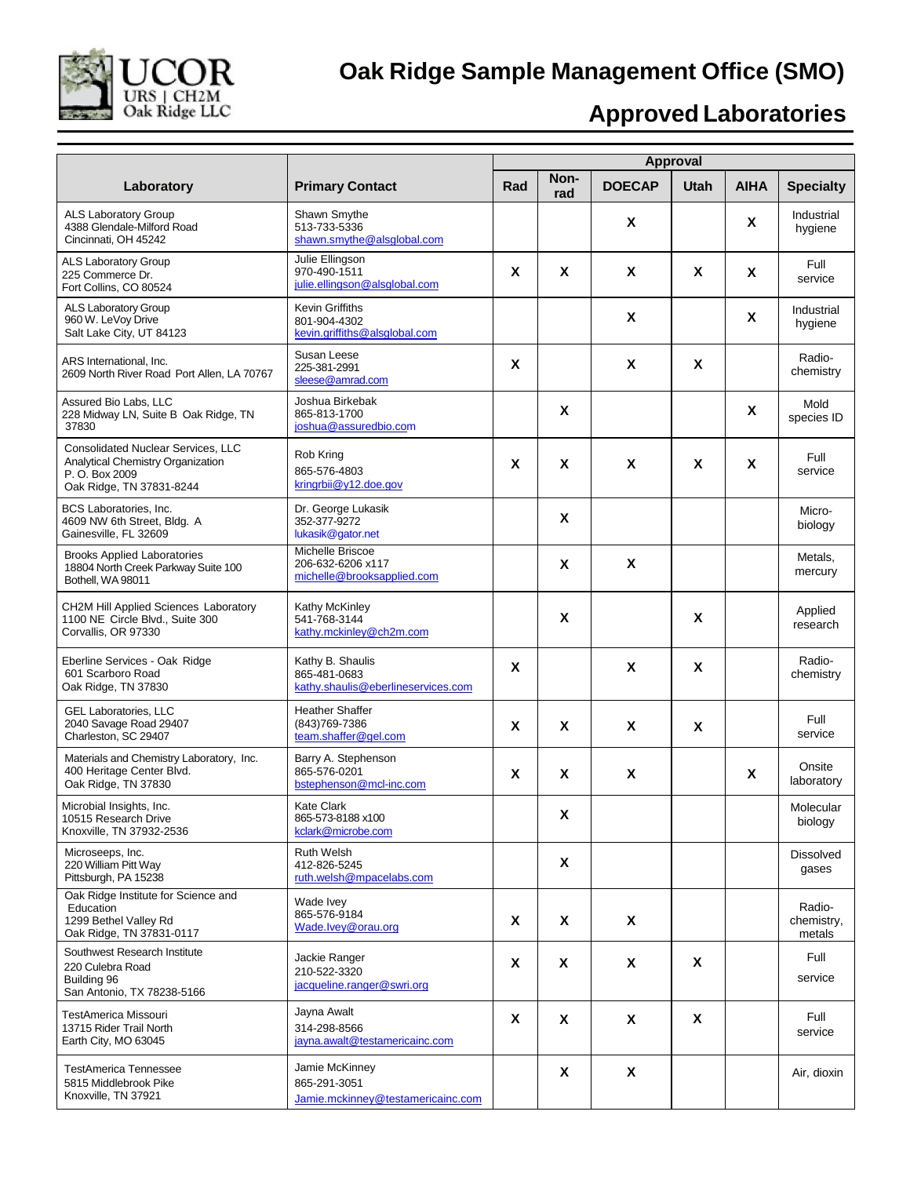

## **Oak Ridge Sample Management Office (SMO)**

## **Approved Laboratories**

|                                                                                                                              |                                                                         | Approval |             |               |             |             |                                |
|------------------------------------------------------------------------------------------------------------------------------|-------------------------------------------------------------------------|----------|-------------|---------------|-------------|-------------|--------------------------------|
| Laboratory                                                                                                                   | <b>Primary Contact</b>                                                  | Rad      | Non-<br>rad | <b>DOECAP</b> | <b>Utah</b> | <b>AIHA</b> | <b>Specialty</b>               |
| <b>ALS Laboratory Group</b><br>4388 Glendale-Milford Road<br>Cincinnati, OH 45242                                            | Shawn Smythe<br>513-733-5336<br>shawn.smythe@alsglobal.com              |          |             | X             |             | X           | Industrial<br>hygiene          |
| ALS Laboratory Group<br>225 Commerce Dr.<br>Fort Collins, CO 80524                                                           | Julie Ellingson<br>970-490-1511<br>julie.ellingson@alsglobal.com        | X        | X           | X             | X           | X           | Full<br>service                |
| ALS Laboratory Group<br>960 W. LeVoy Drive<br>Salt Lake City, UT 84123                                                       | <b>Kevin Griffiths</b><br>801-904-4302<br>kevin.griffiths@alsglobal.com |          |             | X             |             | X           | Industrial<br>hygiene          |
| ARS International, Inc.<br>2609 North River Road Port Allen, LA 70767                                                        | Susan Leese<br>225-381-2991<br>sleese@amrad.com                         | X        |             | X             | X           |             | Radio-<br>chemistry            |
| Assured Bio Labs, LLC<br>228 Midway LN, Suite B Oak Ridge, TN<br>37830                                                       | Joshua Birkebak<br>865-813-1700<br>joshua@assuredbio.com                |          | X           |               |             | X           | Mold<br>species ID             |
| <b>Consolidated Nuclear Services, LLC</b><br>Analytical Chemistry Organization<br>P. O. Box 2009<br>Oak Ridge, TN 37831-8244 | Rob Kring<br>865-576-4803<br>kringrbii@y12.doe.gov                      | X        | X           | X             | X           | X           | Full<br>service                |
| <b>BCS Laboratories, Inc.</b><br>4609 NW 6th Street, Bldg. A<br>Gainesville, FL 32609                                        | Dr. George Lukasik<br>352-377-9272<br>lukasik@gator.net                 |          | X           |               |             |             | Micro-<br>biology              |
| <b>Brooks Applied Laboratories</b><br>18804 North Creek Parkway Suite 100<br>Bothell, WA 98011                               | Michelle Briscoe<br>206-632-6206 x117<br>michelle@brooksapplied.com     |          | X           | X             |             |             | Metals,<br>mercury             |
| CH2M Hill Applied Sciences Laboratory<br>1100 NE Circle Blvd., Suite 300<br>Corvallis, OR 97330                              | Kathy McKinley<br>541-768-3144<br>kathy.mckinley@ch2m.com               |          | X           |               | X           |             | Applied<br>research            |
| Eberline Services - Oak Ridge<br>601 Scarboro Road<br>Oak Ridge, TN 37830                                                    | Kathy B. Shaulis<br>865-481-0683<br>kathy.shaulis@eberlineservices.com  | X        |             | X             | X           |             | Radio-<br>chemistry            |
| <b>GEL Laboratories, LLC</b><br>2040 Savage Road 29407<br>Charleston, SC 29407                                               | <b>Heather Shaffer</b><br>(843) 769-7386<br>team.shaffer@gel.com        | X        | X           | X             | X           |             | Full<br>service                |
| Materials and Chemistry Laboratory, Inc.<br>400 Heritage Center Blvd.<br>Oak Ridge, TN 37830                                 | Barry A. Stephenson<br>865-576-0201<br>bstephenson@mcl-inc.com          | X        | X           | X             |             | X           | Onsite<br>laboratory           |
| Microbial Insights, Inc.<br>10515 Research Drive<br>Knoxville, TN 37932-2536                                                 | <b>Kate Clark</b><br>865-573-8188 x100<br>kclark@microbe.com            |          | X           |               |             |             | Molecular<br>biology           |
| Microseeps, Inc.<br>220 William Pitt Way<br>Pittsburgh, PA 15238                                                             | <b>Ruth Welsh</b><br>412-826-5245<br>ruth.welsh@mpacelabs.com           |          | X           |               |             |             | <b>Dissolved</b><br>gases      |
| Oak Ridge Institute for Science and<br>Education<br>1299 Bethel Valley Rd<br>Oak Ridge, TN 37831-0117                        | Wade Ivey<br>865-576-9184<br>Wade.lvey@orau.org                         | X        | X           | X             |             |             | Radio-<br>chemistry,<br>metals |
| Southwest Research Institute<br>220 Culebra Road<br>Building 96<br>San Antonio, TX 78238-5166                                | Jackie Ranger<br>210-522-3320<br>jacqueline.ranger@swri.org             | X        | X           | X             | X           |             | Full<br>service                |
| TestAmerica Missouri<br>13715 Rider Trail North<br>Earth City, MO 63045                                                      | Jayna Awalt<br>314-298-8566<br>jayna.awalt@testamericainc.com           | X        | X           | X             | X           |             | Full<br>service                |
| <b>TestAmerica Tennessee</b><br>5815 Middlebrook Pike<br>Knoxville, TN 37921                                                 | Jamie McKinney<br>865-291-3051<br>Jamie.mckinney@testamericainc.com     |          | X           | X             |             |             | Air, dioxin                    |